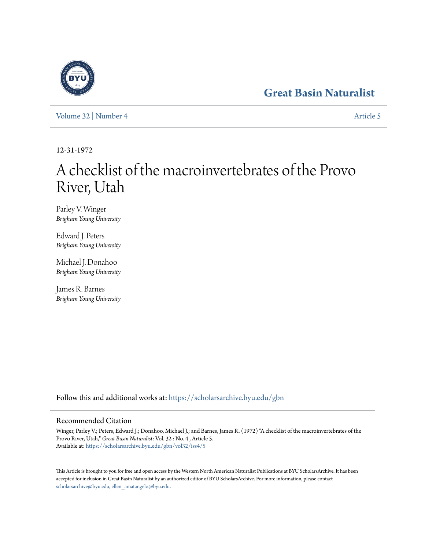# **[Great Basin Naturalist](https://scholarsarchive.byu.edu/gbn?utm_source=scholarsarchive.byu.edu%2Fgbn%2Fvol32%2Fiss4%2F5&utm_medium=PDF&utm_campaign=PDFCoverPages)**



[Volume 32](https://scholarsarchive.byu.edu/gbn/vol32?utm_source=scholarsarchive.byu.edu%2Fgbn%2Fvol32%2Fiss4%2F5&utm_medium=PDF&utm_campaign=PDFCoverPages) | [Number 4](https://scholarsarchive.byu.edu/gbn/vol32/iss4?utm_source=scholarsarchive.byu.edu%2Fgbn%2Fvol32%2Fiss4%2F5&utm_medium=PDF&utm_campaign=PDFCoverPages) [Article 5](https://scholarsarchive.byu.edu/gbn/vol32/iss4/5?utm_source=scholarsarchive.byu.edu%2Fgbn%2Fvol32%2Fiss4%2F5&utm_medium=PDF&utm_campaign=PDFCoverPages)

12-31-1972

# A checklist of the macroinvertebrates of the Provo River, Utah

Parley V. Winger *Brigham Young University*

Edward J. Peters *Brigham Young University*

Michael J. Donahoo *Brigham Young University*

James R. Barnes *Brigham Young University*

Follow this and additional works at: [https://scholarsarchive.byu.edu/gbn](https://scholarsarchive.byu.edu/gbn?utm_source=scholarsarchive.byu.edu%2Fgbn%2Fvol32%2Fiss4%2F5&utm_medium=PDF&utm_campaign=PDFCoverPages)

# Recommended Citation

Winger, Parley V.; Peters, Edward J.; Donahoo, Michael J.; and Barnes, James R. (1972) "A checklist of the macroinvertebrates of the Provo River, Utah," *Great Basin Naturalist*: Vol. 32 : No. 4 , Article 5. Available at: [https://scholarsarchive.byu.edu/gbn/vol32/iss4/5](https://scholarsarchive.byu.edu/gbn/vol32/iss4/5?utm_source=scholarsarchive.byu.edu%2Fgbn%2Fvol32%2Fiss4%2F5&utm_medium=PDF&utm_campaign=PDFCoverPages)

This Article is brought to you for free and open access by the Western North American Naturalist Publications at BYU ScholarsArchive. It has been accepted for inclusion in Great Basin Naturalist by an authorized editor of BYU ScholarsArchive. For more information, please contact [scholarsarchive@byu.edu, ellen\\_amatangelo@byu.edu.](mailto:scholarsarchive@byu.edu,%20ellen_amatangelo@byu.edu)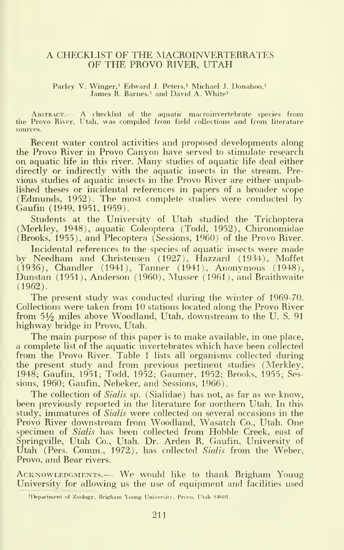#### A CHECKLIST OF THE MACROINVERTEBRATES OF THE PROVO RIVER, UTAH

#### Parley V. Winger,<sup>1</sup> Edward J. Peters,<sup>1</sup> Michael J. Donahoo,<sup>1</sup> James R. Barnes,<sup>1</sup> and David A. White<sup>1</sup>

Abstract.— A checklist of the aquatic macroinvertebrate species from the Provo River, Utah, was compiled from field collections and from literature sources.

Recent water control activities and proposed developments along the Provo River in Provo Canyon have served to stimidate research on aquatic life in this river. Many studies of aquatic life deal either directly or indirectly with the aquatic insects in the stream. Previous studies of aquatic insects in the Provo River are either unpublished theses or incidental references in papers of a broader scope (Edmunds, 1952). The most complete studies were conducted by Gaufin (1949, 1951, 1959).

Students at the University of Utah studied the Trichoptera (Merkley, 1948), aquatic Coleoptera (Todd, 1952), Chironomidae (Brooks, 1955), and Plecoptera (Sessions, 1960) of the Provo River.

Incidental references to the species of aquatic insects were made by Needham and Christensen (1927), Hazzard (1934), Moffet (1936), Chandler (1941), Tanner (1941), Anonymous (1948), Dunstan (1951), Anderson (1960), Musser (1961), and Braithwaite (1962).

The present study was conducted during the winter of 1969-70. Collections were taken from 10 stations located along the Provo River from 51% miles above Woodland, Utah, downstream to the U.S. 91 highway bridge in Provo, Utah.

The main purpose of this paper is to make available, in one place, a complete list of the aquatic invertebrates which have been collected from the Provo River. Table <sup>1</sup> lists all organisms collected during the present study and from previous pertinent studies (Merkley, 1948; Gaufin, 1951; Todd, 1952; Gaumer, 1952; Brooks, 1955; Sessions, 1960; Gaufin, Nebeker, and Sessions, 1966).

The collection of Sialis sp. (Sialidae) has not, as far as we know, been previously reported in the literature for northern Utah. In this study, immatures of Sialis were collected on several occasions in the Provo River downstream from Woodland, Wasatch Co., Utah. One specimen of *Sialis* has been collected from Hobble Creek, east of<br>Springville, Utah Co., Utah. Dr. Arden R. Gaufin, University of Utah (Pers. Comm., 1972), has collected Sialis from the Weber, Provo, and Bear rivers.

ACKNOWLEDGMENTS.— We would like to thank Brigham Young University for allowing us the use of equipment and facilities used

<sup>&</sup>lt;sup>1</sup>Department of Zoology. Brigham Young University. Provo. Utali 84601.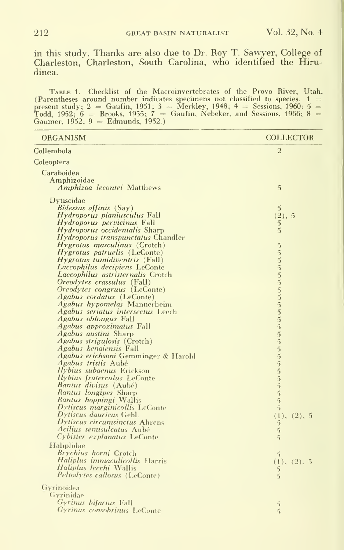in this study. Thanks are also due to Dr. Roy T. Sawyer, College of Charleston, Charleston, South Carolina, who identified the Hirudinea.

Tantz 1. Checklist of the Macroinvertebrates of the Provo River, Utah.<br>(Parentheses around number indicates specimens not classified to species.  $1 =$ <br>present study;  $2 =$  Gaufin, 1951;  $3 =$  Merkley, 1948;  $4 =$  Sessions, 19

| ORGANISM                                                           | <b>COLLECTOR</b>                  |
|--------------------------------------------------------------------|-----------------------------------|
| Collembola                                                         | $\overline{2}$                    |
| Coleoptera                                                         |                                   |
| Caraboidea                                                         |                                   |
| Amphizoidae                                                        |                                   |
| Amphizoa lecontei Matthews                                         | $\mathfrak{S}$                    |
|                                                                    |                                   |
| Dytiscidae                                                         |                                   |
| <i>Bidessus affinis</i> (Say)                                      | $\mathbf{5}$                      |
| Hydroporus planiusculus Fall                                       | (2), 5                            |
| Hydroporus pervicinus Fall                                         | 5                                 |
| <i>Hydroporus occidentalis</i> Sharp                               | $\overline{5}$                    |
| <i>Hydroporus transpunctatus</i> Chandler                          |                                   |
| <i>Hygrotus masculinus</i> (Crotch)                                | $\overline{5}$                    |
| <i>Hygrotus patruelis</i> (LeConte)                                | $\overline{5}$                    |
| Hygrotus tumidiventris (Fall)                                      | $\overline{5}$                    |
| Laccophilus decipiens LeConte<br>Laccophilus astristernalis Crotch | $\overline{5}$                    |
| <i>Oreodytes crassulus</i> (Fall)                                  | $\frac{5}{5}$                     |
| Oreodytes congruus (LeConte)                                       |                                   |
| Agabus cordatus (LeConte)                                          | $\frac{5}{5}$                     |
| Agabus hypomelas Mannerheim                                        |                                   |
| Agabus seriatus intersectus Leech                                  |                                   |
| <i>Agabus oblongus</i> Fall                                        | $\frac{5}{5}$                     |
| Agabus approximatus Fall                                           | $\tilde{5}$                       |
| Agabus austini Sharp                                               | $\overline{5}$                    |
| Agabus strigulosis (Crotch)                                        |                                   |
| <i>Agabus kenaiensis</i> Fall                                      |                                   |
| Agabus erichsoni Gemminger & Harold                                |                                   |
| <i>Agabus tristis</i> Aubé                                         | 5555555                           |
| Ilybius subaenus Erickson                                          |                                   |
| Ilybius fraterculus LeConte                                        |                                   |
| Rantus divisus (Aubé)                                              |                                   |
| Rantus longipes Sharp                                              |                                   |
| Rantus hoppingi Wallis                                             | $\overline{5}$                    |
| Dytiscus marginicollis LeConte                                     | $\tilde{2}$                       |
| Dytiscus dauricus Gebl.<br>Dytiscus circumsinctus Ahrens           | (1), (2), 5                       |
| Acilius semisulcatus Aubé                                          | $5\overline{)}$<br>$\overline{5}$ |
| Cybister explanatus LeConte                                        | $\tilde{5}$                       |
| Haliplidae                                                         |                                   |
| Brychius horni Crotch                                              |                                   |
| Haliplus immaculicollis Harris                                     | 5                                 |
| <i>Haliplus leechi</i> Wallis                                      | (1), (2), 5<br>$5\overline{)}$    |
| Peltodytes callosus (LeConte)                                      | $\tilde{2}$                       |
|                                                                    |                                   |
| Gyrinoidea                                                         |                                   |
| Gyrinidae                                                          |                                   |
| Gyrinus bifarius Fall                                              | $\tilde{2}$                       |
| Gyrinus consobrinus LeConte                                        | $\overline{5}$                    |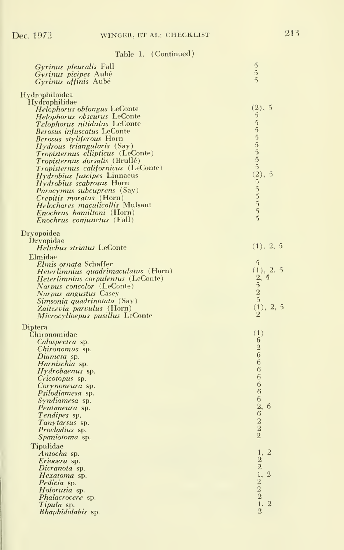| <i>Gyrinus pleuralis</i> Fall              | $\frac{5}{5}$                                   |
|--------------------------------------------|-------------------------------------------------|
| Gyrinus picipes Aubé                       |                                                 |
| <i>Gyrinus affinis</i> Aubé                |                                                 |
| Hydrophiloidea                             |                                                 |
| Hydrophilidae                              |                                                 |
| <i>Helophorus oblongus</i> LeConte         | (2), 5                                          |
| Helophorus obscurus LeConte                | 55555552, 2555                                  |
| Telophorus nitidulus LeConte               |                                                 |
| <b>Berosus infuscatus LeConte</b>          |                                                 |
| <i>Berosus styliferous</i> Horn            |                                                 |
| <i>Hydrous triangularis</i> (Say)          |                                                 |
| <i>Tropisternus ellipticus</i> (LeConte)   |                                                 |
| Tropisternus dorsalis (Brullé)             |                                                 |
| <i>Tropisternus californicus</i> (LeConte) |                                                 |
| <i>Hydrobius fuscipes</i> Linnaeus         | -5                                              |
| <i>Hydrobius scabrosus</i> Horn            |                                                 |
| <i>Paracymus subcuprens</i> (Say)          |                                                 |
| <i>Crepitis moratus</i> (Horn)             |                                                 |
| Helochares maculicollis Mulsant            |                                                 |
| <i>Enochrus hamiltoni</i> (Horn)           |                                                 |
| <i>Enochrus conjunctus</i> (Fall)          | $\tilde{5}$                                     |
|                                            |                                                 |
| Dryopoidea                                 |                                                 |
| Dryopidae                                  |                                                 |
| Helichus striatus LeConte                  | (1), 2, 5                                       |
| Elmidae                                    |                                                 |
| Elmis ornata Schaffer                      | $\tilde{5}$                                     |
| Heterlimnius quadrimaculatus (Horn)        | (1), 2, 5                                       |
| <i>Heterlimnius corpulentus</i> (LeConte)  |                                                 |
| <i>Narpus concolor</i> (LeConte)           | $\frac{2}{5}$ , 5<br>2                          |
| <i>Narpus angustus</i> Casey               | $\overline{5}$                                  |
| Simsonia quadrinotata (Say)                |                                                 |
| Zaitzevia parvulus (Horn)                  | (1), 2, 5<br>$\overline{2}$                     |
| Microcylloepus pusillus LeConte            |                                                 |
| Diptera                                    |                                                 |
| Chironomidae                               | (1)                                             |
| <i>Calospectra</i> sp.                     | 6                                               |
| <i>Chironomus</i> sp.                      | $\overline{\mathbf{2}}$                         |
| Diamesa sp.                                | 6                                               |
| Harnischia sp.                             | 6                                               |
| <i>Hydrobaenus</i> sp.                     | 6                                               |
| Cricotopus sp.                             | 6                                               |
| Corynoneura sp.                            | 6                                               |
| Psilodiamesa sp.                           | 6                                               |
| <i>Syndiamesa</i> sp.                      | $\overline{6}$                                  |
| <i>Pentaneura</i> sp.                      | $\overline{2}$<br>-6<br>$\overline{6}$          |
| <i>Tendipes</i> sp.                        |                                                 |
| Tanytarsus sp.                             |                                                 |
| <i>Procladius</i> sp.                      | $\frac{2}{2}$                                   |
| Spaniotoma sp.                             |                                                 |
| Tipulidae                                  |                                                 |
| Antocha sp.                                | 1,<br>$\overline{2}$                            |
| Eriocera sp.                               | $\overline{2}$                                  |
| Dicranota sp.                              |                                                 |
| Hexatoma sp.                               | $\overline{2}$                                  |
| Pedicia sp.                                |                                                 |
| Holorusia sp.                              |                                                 |
| <i>Phalacrocere</i> sp.                    | $2, 2$<br>$2$<br>$2$<br>$2$<br>$1, 2$<br>$1, 2$ |
| Tipula sp.                                 | $\overline{2}$<br>$\overline{2}$                |
| <i>Rhaphidolabis</i> sp.                   |                                                 |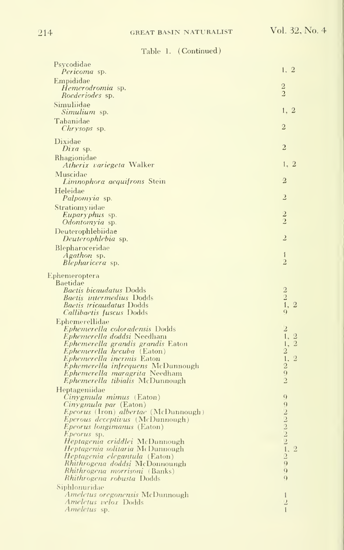| Psycodidae<br>Pericoma sp.                                                                                                                                                                                                                                                                                                                                                                                                                          | 1, 2                                                                                                                               |
|-----------------------------------------------------------------------------------------------------------------------------------------------------------------------------------------------------------------------------------------------------------------------------------------------------------------------------------------------------------------------------------------------------------------------------------------------------|------------------------------------------------------------------------------------------------------------------------------------|
| Empididae<br>Hemerodromia sp.<br>Roederiodes sp.                                                                                                                                                                                                                                                                                                                                                                                                    | $\sqrt{2}$<br>$\overline{2}$                                                                                                       |
| Simuliidae<br>Simulium sp.                                                                                                                                                                                                                                                                                                                                                                                                                          | 1, 2                                                                                                                               |
| Tabanidae<br>Chrysops sp.                                                                                                                                                                                                                                                                                                                                                                                                                           | $\overline{2}$                                                                                                                     |
| Dixidae<br>Dixa sp.                                                                                                                                                                                                                                                                                                                                                                                                                                 | $\overline{2}$                                                                                                                     |
| Rhagionidae<br><i>Atherix variegeta</i> Walker                                                                                                                                                                                                                                                                                                                                                                                                      | 1, 2                                                                                                                               |
| Muscidae<br>Limnophora aequifrons Stein                                                                                                                                                                                                                                                                                                                                                                                                             | $\overline{2}$                                                                                                                     |
| Heleidae<br>Palpomyia sp.                                                                                                                                                                                                                                                                                                                                                                                                                           | 2                                                                                                                                  |
| Stratiomyndae<br>Euparyphus sp.<br>Odontomyia sp.                                                                                                                                                                                                                                                                                                                                                                                                   | $\overline{2}$<br>$\overline{2}$                                                                                                   |
| Deuterophlebiidae<br>Deuterophlebia sp.                                                                                                                                                                                                                                                                                                                                                                                                             | $\overline{2}$                                                                                                                     |
| Blepharoceridae<br>Agathon sp.<br><i>Blepharicera</i> sp.                                                                                                                                                                                                                                                                                                                                                                                           | $\mathbf{1}$<br>$\overline{2}$                                                                                                     |
| Ephemeroptera<br>Baetidae<br><i>Baetis bicaudatus</i> Dodds<br><b>Baetis</b> intermedius Dodds<br><b>Baetis tricaudatus Dodds</b><br>Callibaetis fuscus Dodds<br>Ephemerellidae                                                                                                                                                                                                                                                                     | $\frac{2}{2}$<br>1, 2<br>$\Omega$                                                                                                  |
| Ephemerella coloradensis Dodds<br>Ephemerella doddsi Needham<br>Ephemerella grandis grandis Eaton<br>Ephemerella hecuba (Eaton)<br>Ephemerella inermis Eaton<br>Ephemerella infrequens McDunnough<br>Ephemerella maragrita Needham<br>Ephemerella tibialis McDunnough                                                                                                                                                                               | $\overline{z}$<br>1.2<br>1, 2<br>$\begin{smallmatrix}2\1.2\end{smallmatrix}$<br>$\overline{2}$<br>$\overline{Q}$<br>$\overline{c}$ |
| Heptageniidae<br><i>Cinygmula mimus</i> (Eaton)<br>Cinygmula par (Eaton)<br>Epeorus (Iron) albertae (McDunnough)<br><i>Eperous deceptivus</i> (McDunnough)<br><i>Epeorus longimanus</i> (Eaton)<br>Epeorus sp.<br>Heptagenia criddlei McDunnough<br>Heptagenia solitaria McDunnough<br><i>Heptagenia elegantula</i> (Eaton)<br>Rhithrogena doddsi McDonnoungh<br><i>Rhithrogena morrisoni</i> (Banks)<br>Rhithrogena robusta Dodds<br>Siphlonuridae | $\overline{Q}$<br>9<br>$22221$<br>$1.29$<br>$\overline{2}$<br>$\overline{Q}$<br>$\overline{Q}$                                     |
| <i>Ameletus oregonensis</i> McDunnough<br>Ameletus velox Dodds<br>Ameletus sp.                                                                                                                                                                                                                                                                                                                                                                      | $\mathbf{1}$<br>$\overline{2}$<br>$\mathbf{1}$                                                                                     |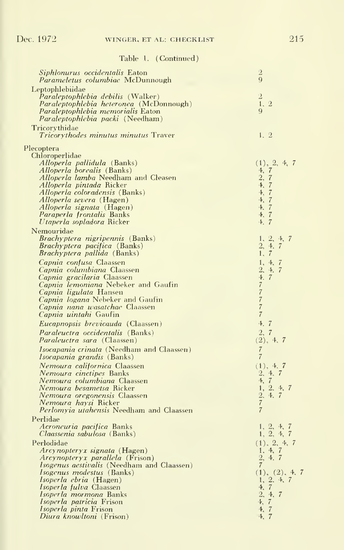| Siphlonurus occidentalis Eaton<br>Parameletus columbiae McDunnough                    | $\overline{2}$<br>$\overline{Q}$ |
|---------------------------------------------------------------------------------------|----------------------------------|
| Leptophlebiidae                                                                       |                                  |
| <i>Paraleptophlebia debilis</i> (Walker)                                              | $\,2$<br>1, 2                    |
| Paraleptophlebia heteronea (McDonnough)<br>Paraleptophlebia memorialis Eaton          | 9                                |
| <i>Paraleptophlebia packi</i> (Needham)<br>Tricorythidae                              |                                  |
| Tricorythodes minutus minutus Traver                                                  | 1, 2                             |
| Plecoptera                                                                            |                                  |
| Chloroperlidae<br>Alloperla pallidula (Banks)                                         | (1), 2, 4, 7                     |
| <i>Alloperla borealis</i> (Banks)                                                     | 4, 7                             |
| Alloperla lamba Needham and Cleasen                                                   | $\frac{2}{4}$ , $\frac{7}{7}$    |
| <i>Alloperla pintada</i> Ricker                                                       | 4, 7                             |
| Alloperla coloradensis (Banks)<br><i>Alloperla severa</i> (Hagen)                     | 4, 7                             |
| Alloperla signata (Hagen)                                                             | 4, 7                             |
| Paraperla frontalis Banks                                                             | 4, 7                             |
| Utaperla sopladora Ricker                                                             | 4, 7                             |
| Nemouridae<br><i>Brachyptera nigripennis</i> (Banks)                                  | 1, 2, 4,<br>-7                   |
| <i>Brachyptera pacifica</i> (Banks)                                                   | 2, 4, 7                          |
| <i>Brachyptera pallida</i> (Banks)                                                    | 1, 7                             |
| Capnia confusa Claassen                                                               | 1, 4, 7                          |
| Capnia columbiana Claassen                                                            | 2, 4, 7<br>4, 7                  |
| Capnia gracilaria Claassen<br>Capnia lemoniana Nebeker and Gaufin                     | $\boldsymbol{7}$                 |
| Capnia ligulata Hansen                                                                | $\overline{7}$                   |
| Capnia logana Nebeker and Gaufin                                                      | $\overline{7}$                   |
| <i>Capnia nana wasatchae</i> Claassen<br>Capnia uintahi Gaufin                        | $\overline{7}$<br>$\overline{7}$ |
| Eucapnopsis brevicauda (Claassen)                                                     | 4.7                              |
| Paraleuctra occidentalis (Banks)                                                      | 2, 7                             |
| <i>Paraleuctra sara</i> (Claassen)                                                    | (2), 4, 7                        |
| Isocapania crinata (Needham and Claassen)<br>Isocapania grandis (Banks)               | $\overline{7}$<br>$\overline{7}$ |
| Nemoura californica Claassen                                                          | (1), 4, 7                        |
| Nemoura cinctipes Banks                                                               | 2, 4, 7                          |
| Nemoura columbiana Claassen<br>Nemoura besametsa Ricker                               | 4, 7<br>1, 2, 4, 7               |
| <i>Nemoura oregonensis</i> Claassen                                                   | 2, 4, 7                          |
| Nemoura haysi Ricker                                                                  | $\overline{7}$                   |
| <i>Perlomyia utahensis</i> Needham and Claassen                                       | $\overline{7}$                   |
| Perlidae<br>Acroneuria pacifica Banks                                                 |                                  |
| <i>Claassenia sabulosa</i> (Banks)                                                    | 1, 2, 4, 7<br>1, 2, 4, 7         |
| Perlodidae                                                                            | (1), 2, 4, 7                     |
| Arcynopteryx signata (Hagen)                                                          | 1, 4, 7                          |
| Arcynopteryx parallela (Frison)                                                       | 2, 4, 7<br>$\overline{7}$        |
| <i>Isogenus aestivalis</i> (Needham and Claassen)<br><i>Isogenus modestus</i> (Banks) | (1), (2), 4, 7                   |
| <i>Isoperla ebria</i> (Hagen)                                                         | 1, 2, 4, 7                       |
| Isoperla fulva Claassen                                                               | 4, 7                             |
| Isoperla mormona Banks<br><i>Isoperla patricia</i> Frison                             | 2, 4, 7<br>4, 7                  |
| Isoperla pinta Frison                                                                 | 4, 7                             |
| Diura knowltoni (Frison)                                                              | 4, 7                             |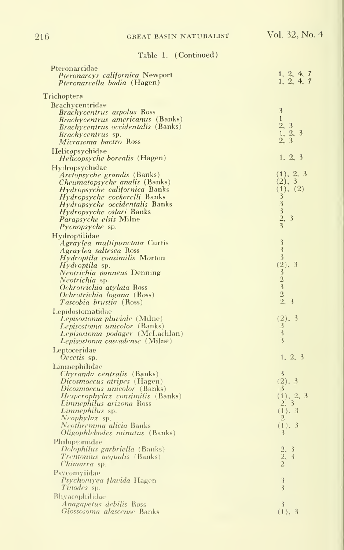## 216 GREAT BASIN NATURALIST Vol. 32, No. 4

| Pteronarcidae                                                       |                                                                  |
|---------------------------------------------------------------------|------------------------------------------------------------------|
| Pteronarcys californica Newport                                     | $1, 2, 4, 7$<br>$1, 2, 4, 7$                                     |
| Pteronarcella badia (Hagen)                                         |                                                                  |
| Trichoptera                                                         |                                                                  |
| Brachycentridae                                                     |                                                                  |
| <b>Brachycentrus aspolus Ross</b>                                   | $\overline{\mathbf{3}}$                                          |
| Brachycentrus americanus (Banks)                                    | $\mathbf{1}$                                                     |
| Brachycentrus occidentalis (Banks)                                  |                                                                  |
| Brachycentrus sp.                                                   | $\begin{array}{c} 2, 3 \\ 1, 2, 3 \\ 2, 3 \end{array}$           |
| <i>Micrasema bactro</i> Ross                                        |                                                                  |
| Helicopsychidae                                                     |                                                                  |
| Helicopsyche borealis (Hagen)                                       | 1, 2, 3                                                          |
| Hydropsychidae                                                      |                                                                  |
| Arctopsyche grandis (Banks)                                         | (1), 2, 3                                                        |
| <i>Cheumatopsyche analis</i> (Banks)                                | $(2), 3$<br>$(1), (2)$                                           |
| <i>Hydropsyche californica</i> Banks                                |                                                                  |
| Hydropsyche cockerelli Banks                                        |                                                                  |
| <i>Hydropsyche occidentalis</i> Banks                               |                                                                  |
| <i>Hydropsyche oslari</i> Banks                                     |                                                                  |
| <i>Parapsyche elsis</i> Milne                                       | 3332,3<br>3                                                      |
| <i>Pycnopsyche</i> sp.                                              |                                                                  |
| Hydroptilidae                                                       |                                                                  |
| Agraylea multipunctata Curtis                                       | $\overline{\mathbf{3}}$<br>$\frac{1}{3}$                         |
| <i>Agraylea saltesea</i> Ross                                       | $\overline{\mathbf{3}}$                                          |
| <i>Hydroptila consimilis</i> Morton                                 | (2), 3                                                           |
| <i>Hydroptila</i> sp.<br>Neotrichia panneus Denning                 |                                                                  |
| Neotrichia sp.                                                      |                                                                  |
| Ochrotrichia atylata Ross                                           |                                                                  |
| Ochrotrichia logana (Ross)                                          |                                                                  |
| <i>Tascobia brustia</i> (Ross)                                      | $\frac{2}{3}$<br>$\frac{2}{3}$<br>$\frac{3}{2}$<br>$\frac{2}{3}$ |
| Lepidostomatidae                                                    |                                                                  |
| Lepisostoma pluviale (Milne)                                        | (2), 3                                                           |
| Lepisostoma unicolor (Banks)                                        | $\overline{3}$                                                   |
| Lepisostoma podager (McLachlan)                                     | $\overline{3}$                                                   |
| Lepisostoma cascadense (Milne)                                      | $\overline{\mathbf{3}}$                                          |
| Leptoceridae                                                        |                                                                  |
| Oecetis sp.                                                         | 1, 2, 3                                                          |
| Limnephilidae                                                       |                                                                  |
| <i>Chyranda centralis</i> (Banks)                                   | 3                                                                |
| <i>Dicosmoecus atripes</i> (Hagen)                                  | (2).3                                                            |
| <i>Dicosmoecus unicolor</i> (Banks)                                 | 3                                                                |
| <i>Hesperophylax consimilis</i> (Banks)<br>Limnephilus arizona Ross | (1), 2, 3<br>2, 3                                                |
| Limnephilus sp.                                                     | (1), 3                                                           |
| Neophylax sp.                                                       | $\overline{2}$                                                   |
| Neothremma alicia Banks                                             | $(1)$ , 3                                                        |
| <i>Oligophlebodes minutus</i> (Banks)                               | $\overline{3}$                                                   |
| Philoptomidae                                                       |                                                                  |
| Dolophilus garbriella (Banks)                                       | $\rightarrow$                                                    |
| <i>Trentonius aequalis</i> (Banks)                                  | $\frac{2}{2}$<br>$\overline{\mathbf{3}}$                         |
| <i>Chimarra</i> sp.                                                 |                                                                  |
| Psycomviidae                                                        |                                                                  |
| Psychomyea flavida Hagen                                            | $\overline{\mathbf{3}}$                                          |
| Tinodes sp.                                                         | $\overline{\mathbf{3}}$                                          |
| <b>Rhyacophilidae</b>                                               |                                                                  |
| Anagapetus debilis Ross                                             | $\overline{3}$                                                   |
| <i>Glossosoma alascense</i> Banks                                   | (1), 3                                                           |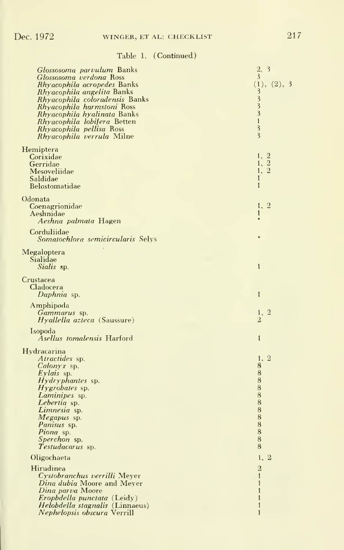| Glossosoma parvulum Banks<br>Glossosoma verdona Ross<br><i>Rhyacophila acropedes</i> Banks<br>Rhyacophila angelita Banks<br>Rhyacophila coloradensis Banks<br>Rhyacophila harmstoni Ross<br><i>Rhyacophila hyalinata</i> Banks<br>Rhyacophila lobifera Betten<br>Rhyacophila pellisa Ross<br>Rhyacophila verrula Milne | 3<br>2,<br>3<br>(1), (2), 3<br>3<br>3<br>$\overline{3}$<br>$\overline{3}$<br>$\mathbf{1}$<br>$\overline{\mathbf{3}}$<br>$\overline{\mathbf{3}}$                  |
|------------------------------------------------------------------------------------------------------------------------------------------------------------------------------------------------------------------------------------------------------------------------------------------------------------------------|------------------------------------------------------------------------------------------------------------------------------------------------------------------|
| Hemiptera<br>Corixidae<br>Gerridae<br>Mesoveliidae<br>Saldidae<br>Belostomatidae                                                                                                                                                                                                                                       | $\begin{smallmatrix} 1,&2\\1,&2 \end{smallmatrix}$<br>$\overline{2}$<br>1,<br>$\mathbf{1}$<br>$\mathbf{1}$                                                       |
| Odonata<br>Coenagrionidae<br>Aeshnidae<br>Aeshna palmata Hagen<br>Corduliidae                                                                                                                                                                                                                                          | 1,<br>$\overline{2}$<br>$\mathbf{1}$                                                                                                                             |
| Somatochlora semicircularis Selys<br>Megaloptera<br>Sialidae<br>Sialis sp.                                                                                                                                                                                                                                             | $\mathbf{1}$                                                                                                                                                     |
| Crustacea<br>Cladocera<br>Daphnia sp.                                                                                                                                                                                                                                                                                  | $\mathbf{1}$                                                                                                                                                     |
| Amphipoda<br>Gammarus sp.<br><i>Hyallella azteca</i> (Saussure)                                                                                                                                                                                                                                                        | $\frac{1}{2}$ , 2                                                                                                                                                |
| Isopoda<br>Asellus tomalensis Harford                                                                                                                                                                                                                                                                                  | $\mathbf{1}$                                                                                                                                                     |
| Hydracarina<br>Atractides sp.<br><i>Calonyx</i> sp.<br>Eylais sp.<br><i>Hydryphantes</i> sp.<br><i>Hygrobates</i> sp.<br>Laminipes sp.<br>Lebertia sp.<br>Limnesia sp.<br>Megapus sp.<br>Panisus sp.<br>Piona sp.<br>Sperchon sp.                                                                                      | 1,<br>$\overline{2}$<br>$\bf 8$<br>$\frac{8}{8}$<br>$\bar{8}$<br>$\bar{8}$<br>$\bar{8}$<br>$\overline{\bf 8}$<br>$\begin{array}{c} 8 \\ 8 \\ 8 \end{array}$<br>8 |
| Testudacarus sp.<br>Oligochaeta                                                                                                                                                                                                                                                                                        | 8<br>1,<br>$\overline{2}$                                                                                                                                        |
| Hirudinea<br>Cystobranchus verrilli Meyer<br>Dina dubia Moore and Meyer<br>Dina parva Moore<br>Eropbdella punctata (Leidy)<br>Helobdella stagnalis (Linnaeus)<br>Nephelopsis obscura Verrill                                                                                                                           | $\overline{2}$<br>$\mathbf{1}$<br>$\mathbf{1}$<br>$\mathbf{1}$<br>$\mathbf{1}$<br>$\mathbf{1}$<br>$\mathbf{1}$                                                   |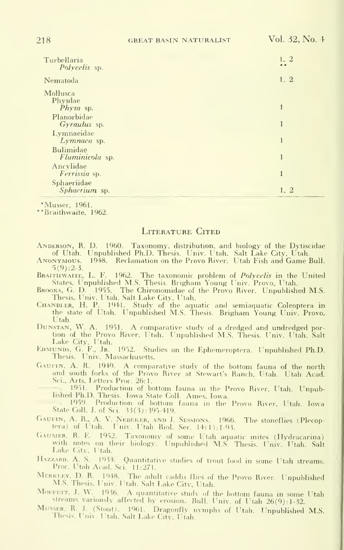| Turbellaria<br>Polycelis sp.             | 1, 2         |
|------------------------------------------|--------------|
| Nematoda                                 | 1, 2         |
| Mollusca<br>Physdae                      | 1            |
| Physa sp.<br>Planorbidae<br>Gyraulus sp. | $\mathbf{1}$ |
| Lymnaeidae<br>Lymnaea sp.                |              |
| Bulimidae<br>Fluminicola sp.             |              |
| Ancylidae<br>Ferrissia sp.               | 1            |
| Sphaeriidae<br>Sphaerium sp.             | 1, 2         |

•Musser, 1961.

'Braithwaite. 1962.

#### LITERATURE CITED

- ANDERSON, R. D. 1960. Taxonomy, distribution, and biology of the Dytiscidae of Utah. Unpublished Ph.D. Thesis. Univ. Utah. Salt Lake City, Utah.
- ANONYMOUS. 1948. Reclamation on the Provo River. Utah Fish and Game Bull.  $5(9): 2-3.$
- BRAITHWAITE, L. F. 1962. The taxonomic problem of *Polycelis* in the United States. Unpublished M.S. Thesis. Brigham Young Univ. Provo, Utah.
- Brooks, G. D. 1955. The Chironomidae of the Provo River. Unpublished M.S. Thesis. Univ. Utah. Salt Lake City, Utah.
- CHANDLER, H. P. 1941. Study of the aquatic and semiaquatic Coleoptera in the state of Utah. Unpublished M.S. Thesis. Brigham Young Univ. Provo. Utah.
- DUNSTAN, W. A. 1951. A comparative study of a dredged and undredged portion of the Provo River, Utah. Unpublished M.S. Thesis. Univ. Utah. Salt tion of the Provo River. Utah. Unpublished M.S. Thesis. Univ. Utah. Salt<br>Lake City, Utah.<br>EDMUNDS, G. F., Jr. 1952. Studies on the Ephemeroptera. Unpublished Ph.D.
- Thesis. Univ. Massachusetts.
- GAUFIN, A. R. 1949. A comparative study of the bottom fauna of the north and south forks of the Provo River at Stewart's Ranch, Utah. Utah Acad. Sci., Arts, Letters Proc. 26:1.
	- ... 1951. Production of bottom fauna in the Provo River. Utah. Unpub-<br>lished Ph.D. Thesis. Iowa State Coll. Ames, Iowa.
	- 1959. Production of bottom fauna in the Provo River, Utah. Iowa. State Coll. J. of Sci. 33(3): 395-419.
- GAUFIN, A. R., A. V. NEBEKER, AND J. SESSIONS. 1966. The stoneflies (Plecoptera) of Utah. Univ. Utah Biol. Ser. 14(1):1-93.
- Gaumer, R. E. 1952. Taxonomy of some Utah aquatic mites (Hydracarina) with notes on their biology. Unpublished M.S. Thesis. Univ. Utah. Salt Lake City, Utah.
- HAZZARD, A. S. 1934. Quantitative studies of trout food in some Utah streams. Proc. Utah Acad. Sci. 11:271.
- Merki.ey, D. R. 1948. The adult caddis flies of the Provo River. Unpublished M.S. Thesis. Univ. Utah. Salt Lake City, Utah.
- MOFFETT, J. W. 1936. A quantitative study of the bottom fauna in some Utah streams variously affected by erosion. Bull, Univ. of Utah  $26(9)$ : 1-32.
- Mu.sser, R. J. (Stout). 1961. Dragonfly nvniphs of Utah. Unpublished M.S. Thesis. Univ. Utah. Salt Lake City, Utah.